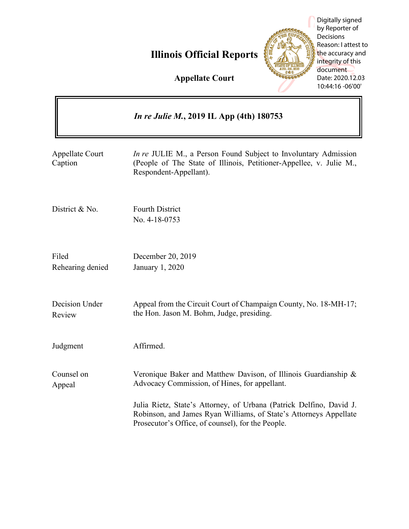# **Illinois Official Reports**



Digitally signed by Reporter of Decisions Reason: I attest to the accuracy and integrity of this document Date: 2020.12.03 10:44:16 -06'00'

 $\overline{\phantom{0}}$ 

**Appellate Court**

 $\mathbf{r}$ 

|                                   | <i>In re Julie M., 2019 IL App (4th) 180753</i>                                                                                                                                               |
|-----------------------------------|-----------------------------------------------------------------------------------------------------------------------------------------------------------------------------------------------|
| <b>Appellate Court</b><br>Caption | <i>In re</i> JULIE M., a Person Found Subject to Involuntary Admission<br>(People of The State of Illinois, Petitioner-Appellee, v. Julie M.,<br>Respondent-Appellant).                       |
| District & No.                    | <b>Fourth District</b><br>No. 4-18-0753                                                                                                                                                       |
| Filed<br>Rehearing denied         | December 20, 2019<br>January 1, 2020                                                                                                                                                          |
| Decision Under<br>Review          | Appeal from the Circuit Court of Champaign County, No. 18-MH-17;<br>the Hon. Jason M. Bohm, Judge, presiding.                                                                                 |
| Judgment                          | Affirmed.                                                                                                                                                                                     |
| Counsel on<br>Appeal              | Veronique Baker and Matthew Davison, of Illinois Guardianship &<br>Advocacy Commission, of Hines, for appellant.                                                                              |
|                                   | Julia Rietz, State's Attorney, of Urbana (Patrick Delfino, David J.<br>Robinson, and James Ryan Williams, of State's Attorneys Appellate<br>Prosecutor's Office, of counsel), for the People. |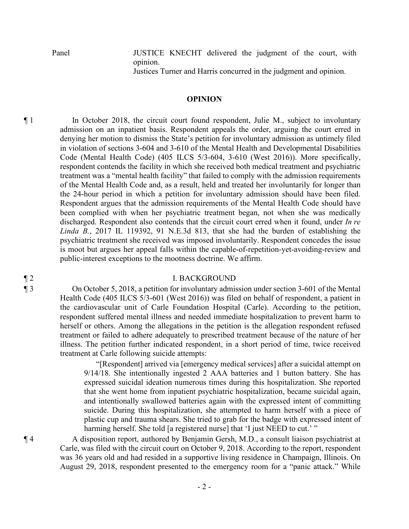Panel JUSTICE KNECHT delivered the judgment of the court, with opinion.

Justices Turner and Harris concurred in the judgment and opinion.

### **OPINION**

¶ 1 In October 2018, the circuit court found respondent, Julie M., subject to involuntary admission on an inpatient basis. Respondent appeals the order, arguing the court erred in denying her motion to dismiss the State's petition for involuntary admission as untimely filed in violation of sections 3-604 and 3-610 of the Mental Health and Developmental Disabilities Code (Mental Health Code) (405 ILCS 5/3-604, 3-610 (West 2016)). More specifically, respondent contends the facility in which she received both medical treatment and psychiatric treatment was a "mental health facility" that failed to comply with the admission requirements of the Mental Health Code and, as a result, held and treated her involuntarily for longer than the 24-hour period in which a petition for involuntary admission should have been filed. Respondent argues that the admission requirements of the Mental Health Code should have been complied with when her psychiatric treatment began, not when she was medically discharged. Respondent also contends that the circuit court erred when it found, under *In re Linda B.*, 2017 IL 119392, 91 N.E.3d 813, that she had the burden of establishing the psychiatric treatment she received was imposed involuntarily. Respondent concedes the issue is moot but argues her appeal falls within the capable-of-repetition-yet-avoiding-review and public-interest exceptions to the mootness doctrine. We affirm.

#### ¶ 2 I. BACKGROUND

¶ 3 On October 5, 2018, a petition for involuntary admission under section 3-601 of the Mental Health Code (405 ILCS 5/3-601 (West 2016)) was filed on behalf of respondent, a patient in the cardiovascular unit of Carle Foundation Hospital (Carle). According to the petition, respondent suffered mental illness and needed immediate hospitalization to prevent harm to herself or others. Among the allegations in the petition is the allegation respondent refused treatment or failed to adhere adequately to prescribed treatment because of the nature of her illness. The petition further indicated respondent, in a short period of time, twice received treatment at Carle following suicide attempts:

> "[Respondent] arrived via [emergency medical services] after a suicidal attempt on 9/14/18. She intentionally ingested 2 AAA batteries and 1 button battery. She has expressed suicidal ideation numerous times during this hospitalization. She reported that she went home from inpatient psychiatric hospitalization, became suicidal again, and intentionally swallowed batteries again with the expressed intent of committing suicide. During this hospitalization, she attempted to harm herself with a piece of plastic cup and trauma shears. She tried to grab for the badge with expressed intent of harming herself. She told [a registered nurse] that 'I just NEED to cut.' "

¶ 4 A disposition report, authored by Benjamin Gersh, M.D., a consult liaison psychiatrist at Carle, was filed with the circuit court on October 9, 2018. According to the report, respondent was 36 years old and had resided in a supportive living residence in Champaign, Illinois. On August 29, 2018, respondent presented to the emergency room for a "panic attack." While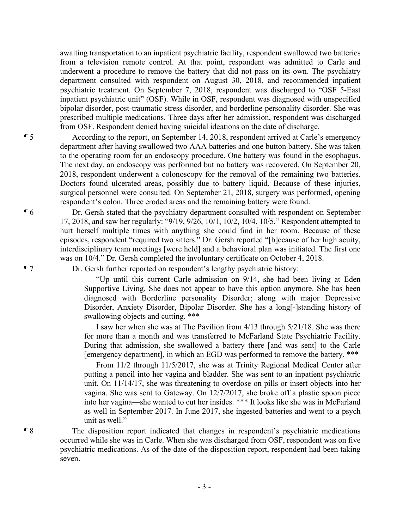awaiting transportation to an inpatient psychiatric facility, respondent swallowed two batteries from a television remote control. At that point, respondent was admitted to Carle and underwent a procedure to remove the battery that did not pass on its own. The psychiatry department consulted with respondent on August 30, 2018, and recommended inpatient psychiatric treatment. On September 7, 2018, respondent was discharged to "OSF 5-East inpatient psychiatric unit" (OSF). While in OSF, respondent was diagnosed with unspecified bipolar disorder, post-traumatic stress disorder, and borderline personality disorder. She was prescribed multiple medications. Three days after her admission, respondent was discharged from OSF. Respondent denied having suicidal ideations on the date of discharge.

¶ 5 According to the report, on September 14, 2018, respondent arrived at Carle's emergency department after having swallowed two AAA batteries and one button battery. She was taken to the operating room for an endoscopy procedure. One battery was found in the esophagus. The next day, an endoscopy was performed but no battery was recovered. On September 20, 2018, respondent underwent a colonoscopy for the removal of the remaining two batteries. Doctors found ulcerated areas, possibly due to battery liquid. Because of these injuries, surgical personnel were consulted. On September 21, 2018, surgery was performed, opening respondent's colon. Three eroded areas and the remaining battery were found.

¶ 6 Dr. Gersh stated that the psychiatry department consulted with respondent on September 17, 2018, and saw her regularly: "9/19, 9/26, 10/1, 10/2, 10/4, 10/5." Respondent attempted to hurt herself multiple times with anything she could find in her room. Because of these episodes, respondent "required two sitters." Dr. Gersh reported "[b]ecause of her high acuity, interdisciplinary team meetings [were held] and a behavioral plan was initiated. The first one was on 10/4." Dr. Gersh completed the involuntary certificate on October 4, 2018.

¶ 7 Dr. Gersh further reported on respondent's lengthy psychiatric history:

"Up until this current Carle admission on 9/14, she had been living at Eden Supportive Living. She does not appear to have this option anymore. She has been diagnosed with Borderline personality Disorder; along with major Depressive Disorder, Anxiety Disorder, Bipolar Disorder. She has a long[-]standing history of swallowing objects and cutting. \*\*\*

I saw her when she was at The Pavilion from 4/13 through 5/21/18. She was there for more than a month and was transferred to McFarland State Psychiatric Facility. During that admission, she swallowed a battery there [and was sent] to the Carle [emergency department], in which an EGD was performed to remove the battery. \*\*\*

From 11/2 through 11/5/2017, she was at Trinity Regional Medical Center after putting a pencil into her vagina and bladder. She was sent to an inpatient psychiatric unit. On 11/14/17, she was threatening to overdose on pills or insert objects into her vagina. She was sent to Gateway. On 12/7/2017, she broke off a plastic spoon piece into her vagina—she wanted to cut her insides. \*\*\* It looks like she was in McFarland as well in September 2017. In June 2017, she ingested batteries and went to a psych unit as well."

¶ 8 The disposition report indicated that changes in respondent's psychiatric medications occurred while she was in Carle. When she was discharged from OSF, respondent was on five psychiatric medications. As of the date of the disposition report, respondent had been taking seven.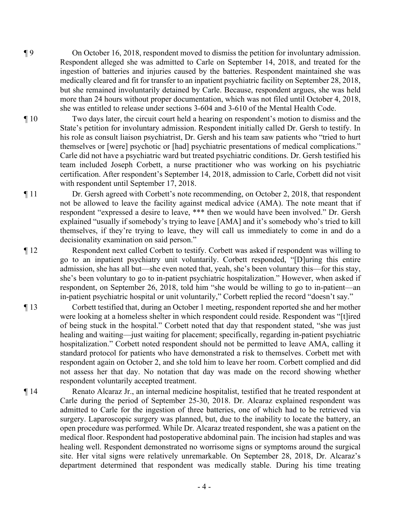- ¶ 9 On October 16, 2018, respondent moved to dismiss the petition for involuntary admission. Respondent alleged she was admitted to Carle on September 14, 2018, and treated for the ingestion of batteries and injuries caused by the batteries. Respondent maintained she was medically cleared and fit for transfer to an inpatient psychiatric facility on September 28, 2018, but she remained involuntarily detained by Carle. Because, respondent argues, she was held more than 24 hours without proper documentation, which was not filed until October 4, 2018, she was entitled to release under sections 3-604 and 3-610 of the Mental Health Code.
- ¶ 10 Two days later, the circuit court held a hearing on respondent's motion to dismiss and the State's petition for involuntary admission. Respondent initially called Dr. Gersh to testify. In his role as consult liaison psychiatrist, Dr. Gersh and his team saw patients who "tried to hurt themselves or [were] psychotic or [had] psychiatric presentations of medical complications." Carle did not have a psychiatric ward but treated psychiatric conditions. Dr. Gersh testified his team included Joseph Corbett, a nurse practitioner who was working on his psychiatric certification. After respondent's September 14, 2018, admission to Carle, Corbett did not visit with respondent until September 17, 2018.
- ¶ 11 Dr. Gersh agreed with Corbett's note recommending, on October 2, 2018, that respondent not be allowed to leave the facility against medical advice (AMA). The note meant that if respondent "expressed a desire to leave, \*\*\* then we would have been involved." Dr. Gersh explained "usually if somebody's trying to leave [AMA] and it's somebody who's tried to kill themselves, if they're trying to leave, they will call us immediately to come in and do a decisionality examination on said person."
- ¶ 12 Respondent next called Corbett to testify. Corbett was asked if respondent was willing to go to an inpatient psychiatry unit voluntarily. Corbett responded, "[D]uring this entire admission, she has all but—she even noted that, yeah, she's been voluntary this—for this stay, she's been voluntary to go to in-patient psychiatric hospitalization." However, when asked if respondent, on September 26, 2018, told him "she would be willing to go to in-patient—an in-patient psychiatric hospital or unit voluntarily," Corbett replied the record "doesn't say."
- ¶ 13 Corbett testified that, during an October 1 meeting, respondent reported she and her mother were looking at a homeless shelter in which respondent could reside. Respondent was "[t]ired of being stuck in the hospital." Corbett noted that day that respondent stated, "she was just healing and waiting—just waiting for placement; specifically, regarding in-patient psychiatric hospitalization." Corbett noted respondent should not be permitted to leave AMA, calling it standard protocol for patients who have demonstrated a risk to themselves. Corbett met with respondent again on October 2, and she told him to leave her room. Corbett complied and did not assess her that day. No notation that day was made on the record showing whether respondent voluntarily accepted treatment.
- ¶ 14 Renato Alcaraz Jr., an internal medicine hospitalist, testified that he treated respondent at Carle during the period of September 25-30, 2018. Dr. Alcaraz explained respondent was admitted to Carle for the ingestion of three batteries, one of which had to be retrieved via surgery. Laparoscopic surgery was planned, but, due to the inability to locate the battery, an open procedure was performed. While Dr. Alcaraz treated respondent, she was a patient on the medical floor. Respondent had postoperative abdominal pain. The incision had staples and was healing well. Respondent demonstrated no worrisome signs or symptoms around the surgical site. Her vital signs were relatively unremarkable. On September 28, 2018, Dr. Alcaraz's department determined that respondent was medically stable. During his time treating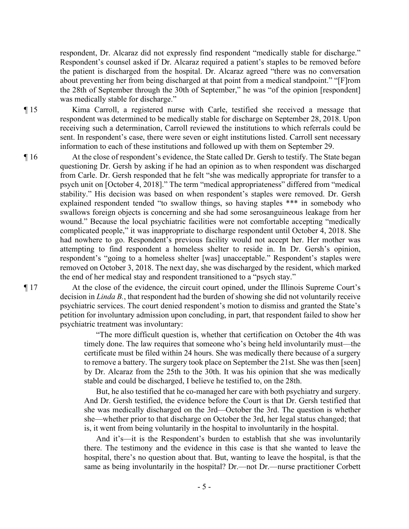respondent, Dr. Alcaraz did not expressly find respondent "medically stable for discharge." Respondent's counsel asked if Dr. Alcaraz required a patient's staples to be removed before the patient is discharged from the hospital. Dr. Alcaraz agreed "there was no conversation about preventing her from being discharged at that point from a medical standpoint." "[F]rom the 28th of September through the 30th of September," he was "of the opinion [respondent] was medically stable for discharge."

¶ 15 Kima Carroll, a registered nurse with Carle, testified she received a message that respondent was determined to be medically stable for discharge on September 28, 2018. Upon receiving such a determination, Carroll reviewed the institutions to which referrals could be sent. In respondent's case, there were seven or eight institutions listed. Carroll sent necessary information to each of these institutions and followed up with them on September 29.

¶ 16 At the close of respondent's evidence, the State called Dr. Gersh to testify. The State began questioning Dr. Gersh by asking if he had an opinion as to when respondent was discharged from Carle. Dr. Gersh responded that he felt "she was medically appropriate for transfer to a psych unit on [October 4, 2018]." The term "medical appropriateness" differed from "medical stability." His decision was based on when respondent's staples were removed. Dr. Gersh explained respondent tended "to swallow things, so having staples \*\*\* in somebody who swallows foreign objects is concerning and she had some serosanguineous leakage from her wound." Because the local psychiatric facilities were not comfortable accepting "medically complicated people," it was inappropriate to discharge respondent until October 4, 2018. She had nowhere to go. Respondent's previous facility would not accept her. Her mother was attempting to find respondent a homeless shelter to reside in. In Dr. Gersh's opinion, respondent's "going to a homeless shelter [was] unacceptable." Respondent's staples were removed on October 3, 2018. The next day, she was discharged by the resident, which marked the end of her medical stay and respondent transitioned to a "psych stay."

¶ 17 At the close of the evidence, the circuit court opined, under the Illinois Supreme Court's decision in *Linda B.*, that respondent had the burden of showing she did not voluntarily receive psychiatric services. The court denied respondent's motion to dismiss and granted the State's petition for involuntary admission upon concluding, in part, that respondent failed to show her psychiatric treatment was involuntary:

> "The more difficult question is, whether that certification on October the 4th was timely done. The law requires that someone who's being held involuntarily must—the certificate must be filed within 24 hours. She was medically there because of a surgery to remove a battery. The surgery took place on September the 21st. She was then [seen] by Dr. Alcaraz from the 25th to the 30th. It was his opinion that she was medically stable and could be discharged, I believe he testified to, on the 28th.

> But, he also testified that he co-managed her care with both psychiatry and surgery. And Dr. Gersh testified, the evidence before the Court is that Dr. Gersh testified that she was medically discharged on the 3rd—October the 3rd. The question is whether she—whether prior to that discharge on October the 3rd, her legal status changed; that is, it went from being voluntarily in the hospital to involuntarily in the hospital.

> And it's—it is the Respondent's burden to establish that she was involuntarily there. The testimony and the evidence in this case is that she wanted to leave the hospital, there's no question about that. But, wanting to leave the hospital, is that the same as being involuntarily in the hospital? Dr.—not Dr.—nurse practitioner Corbett

- 5 -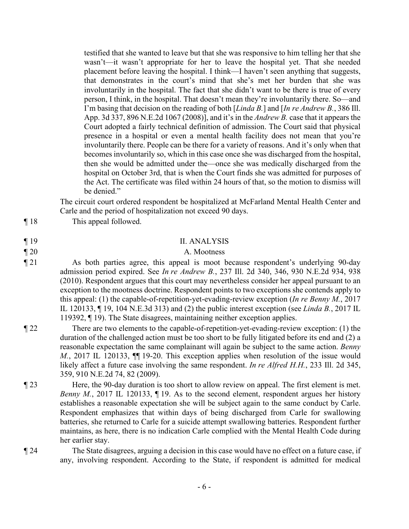testified that she wanted to leave but that she was responsive to him telling her that she wasn't—it wasn't appropriate for her to leave the hospital yet. That she needed placement before leaving the hospital. I think—I haven't seen anything that suggests, that demonstrates in the court's mind that she's met her burden that she was involuntarily in the hospital. The fact that she didn't want to be there is true of every person, I think, in the hospital. That doesn't mean they're involuntarily there. So—and I'm basing that decision on the reading of both [*Linda B.*] and [*In re Andrew B.*, 386 Ill. App. 3d 337, 896 N.E.2d 1067 (2008)], and it's in the *Andrew B.* case that it appears the Court adopted a fairly technical definition of admission. The Court said that physical presence in a hospital or even a mental health facility does not mean that you're involuntarily there. People can be there for a variety of reasons. And it's only when that becomes involuntarily so, which in this case once she was discharged from the hospital, then she would be admitted under the—once she was medically discharged from the hospital on October 3rd, that is when the Court finds she was admitted for purposes of the Act. The certificate was filed within 24 hours of that, so the motion to dismiss will be denied."

The circuit court ordered respondent be hospitalized at McFarland Mental Health Center and Carle and the period of hospitalization not exceed 90 days.

¶ 18 This appeal followed.

# ¶ 19 II. ANALYSIS

# ¶ 20 A. Mootness

¶ 21 As both parties agree, this appeal is moot because respondent's underlying 90-day admission period expired. See *In re Andrew B.*, 237 Ill. 2d 340, 346, 930 N.E.2d 934, 938 (2010). Respondent argues that this court may nevertheless consider her appeal pursuant to an exception to the mootness doctrine. Respondent points to two exceptions she contends apply to this appeal: (1) the capable-of-repetition-yet-evading-review exception (*In re Benny M.*, 2017 IL 120133, ¶ 19, 104 N.E.3d 313) and (2) the public interest exception (see *Linda B.*, 2017 IL 119392, ¶ 19). The State disagrees, maintaining neither exception applies.

- ¶ 22 There are two elements to the capable-of-repetition-yet-evading-review exception: (1) the duration of the challenged action must be too short to be fully litigated before its end and (2) a reasonable expectation the same complainant will again be subject to the same action. *Benny M.*, 2017 IL 120133,  $\P$  19-20. This exception applies when resolution of the issue would likely affect a future case involving the same respondent. *In re Alfred H.H.*, 233 Ill. 2d 345, 359, 910 N.E.2d 74, 82 (2009).
- ¶ 23 Here, the 90-day duration is too short to allow review on appeal. The first element is met. *Benny M.*, 2017 IL 120133, 19. As to the second element, respondent argues her history establishes a reasonable expectation she will be subject again to the same conduct by Carle. Respondent emphasizes that within days of being discharged from Carle for swallowing batteries, she returned to Carle for a suicide attempt swallowing batteries. Respondent further maintains, as here, there is no indication Carle complied with the Mental Health Code during her earlier stay.
- ¶ 24 The State disagrees, arguing a decision in this case would have no effect on a future case, if any, involving respondent. According to the State, if respondent is admitted for medical
	- 6 -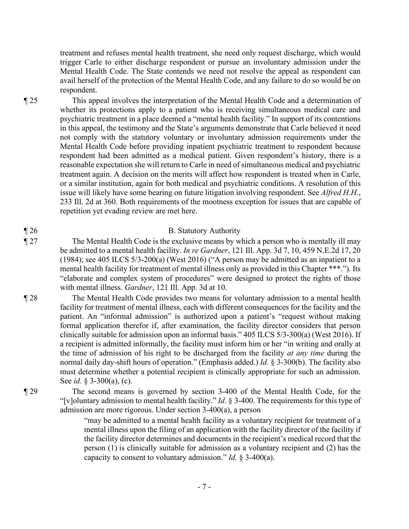treatment and refuses mental health treatment, she need only request discharge, which would trigger Carle to either discharge respondent or pursue an involuntary admission under the Mental Health Code. The State contends we need not resolve the appeal as respondent can avail herself of the protection of the Mental Health Code, and any failure to do so would be on respondent.

¶ 25 This appeal involves the interpretation of the Mental Health Code and a determination of whether its protections apply to a patient who is receiving simultaneous medical care and psychiatric treatment in a place deemed a "mental health facility." In support of its contentions in this appeal, the testimony and the State's arguments demonstrate that Carle believed it need not comply with the statutory voluntary or involuntary admission requirements under the Mental Health Code before providing inpatient psychiatric treatment to respondent because respondent had been admitted as a medical patient. Given respondent's history, there is a reasonable expectation she will return to Carle in need of simultaneous medical and psychiatric treatment again. A decision on the merits will affect how respondent is treated when in Carle, or a similar institution, again for both medical and psychiatric conditions. A resolution of this issue will likely have some bearing on future litigation involving respondent. See *Alfred H.H.*, 233 Ill. 2d at 360. Both requirements of the mootness exception for issues that are capable of repetition yet evading review are met here.

# ¶ 26 B. Statutory Authority

- ¶ 27 The Mental Health Code is the exclusive means by which a person who is mentally ill may be admitted to a mental health facility. *In re Gardner*, 121 Ill. App. 3d 7, 10, 459 N.E.2d 17, 20 (1984); see 405 ILCS 5/3-200(a) (West 2016) ("A person may be admitted as an inpatient to a mental health facility for treatment of mental illness only as provided in this Chapter \*\*\*."). Its "elaborate and complex system of procedures" were designed to protect the rights of those with mental illness. *Gardner*, 121 Ill. App. 3d at 10.
- ¶ 28 The Mental Health Code provides two means for voluntary admission to a mental health facility for treatment of mental illness, each with different consequences for the facility and the patient. An "informal admission" is authorized upon a patient's "request without making formal application therefor if, after examination, the facility director considers that person clinically suitable for admission upon an informal basis." 405 ILCS 5/3-300(a) (West 2016). If a recipient is admitted informally, the facility must inform him or her "in writing and orally at the time of admission of his right to be discharged from the facility *at any time* during the normal daily day-shift hours of operation." (Emphasis added.) *Id.* § 3-300(b). The facility also must determine whether a potential recipient is clinically appropriate for such an admission. See *id.* § 3-300(a), (c).

¶ 29 The second means is governed by section 3-400 of the Mental Health Code, for the "[v]oluntary admission to mental health facility." *Id.* § 3-400. The requirements for this type of admission are more rigorous. Under section 3-400(a), a person

> "may be admitted to a mental health facility as a voluntary recipient for treatment of a mental illness upon the filing of an application with the facility director of the facility if the facility director determines and documents in the recipient's medical record that the person (1) is clinically suitable for admission as a voluntary recipient and (2) has the capacity to consent to voluntary admission." *Id.* § 3-400(a).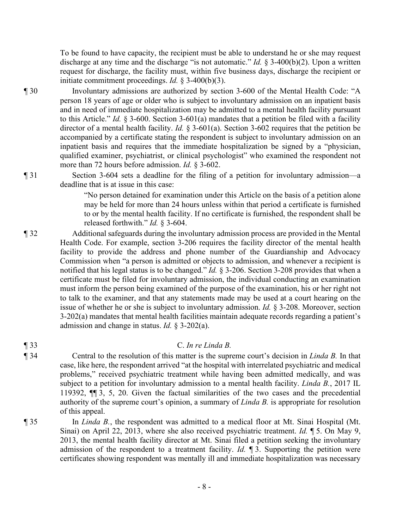To be found to have capacity, the recipient must be able to understand he or she may request discharge at any time and the discharge "is not automatic." *Id.* § 3-400(b)(2). Upon a written request for discharge, the facility must, within five business days, discharge the recipient or initiate commitment proceedings. *Id.* § 3-400(b)(3).

¶ 30 Involuntary admissions are authorized by section 3-600 of the Mental Health Code: "A person 18 years of age or older who is subject to involuntary admission on an inpatient basis and in need of immediate hospitalization may be admitted to a mental health facility pursuant to this Article." *Id.* § 3-600. Section 3-601(a) mandates that a petition be filed with a facility director of a mental health facility. *Id.* § 3-601(a). Section 3-602 requires that the petition be accompanied by a certificate stating the respondent is subject to involuntary admission on an inpatient basis and requires that the immediate hospitalization be signed by a "physician, qualified examiner, psychiatrist, or clinical psychologist" who examined the respondent not more than 72 hours before admission. *Id.* § 3-602.

¶ 31 Section 3-604 sets a deadline for the filing of a petition for involuntary admission—a deadline that is at issue in this case:

> "No person detained for examination under this Article on the basis of a petition alone may be held for more than 24 hours unless within that period a certificate is furnished to or by the mental health facility. If no certificate is furnished, the respondent shall be released forthwith." *Id.* § 3-604.

- ¶ 32 Additional safeguards during the involuntary admission process are provided in the Mental Health Code. For example, section 3-206 requires the facility director of the mental health facility to provide the address and phone number of the Guardianship and Advocacy Commission when "a person is admitted or objects to admission, and whenever a recipient is notified that his legal status is to be changed." *Id.* § 3-206. Section 3-208 provides that when a certificate must be filed for involuntary admission, the individual conducting an examination must inform the person being examined of the purpose of the examination, his or her right not to talk to the examiner, and that any statements made may be used at a court hearing on the issue of whether he or she is subject to involuntary admission. *Id.* § 3-208. Moreover, section 3-202(a) mandates that mental health facilities maintain adequate records regarding a patient's admission and change in status. *Id.* § 3-202(a).
- ¶ 33 C. *In re Linda B.*
- ¶ 34 Central to the resolution of this matter is the supreme court's decision in *Linda B.* In that case, like here, the respondent arrived "at the hospital with interrelated psychiatric and medical problems," received psychiatric treatment while having been admitted medically, and was subject to a petition for involuntary admission to a mental health facility. *Linda B.*, 2017 IL 119392, ¶¶ 3, 5, 20. Given the factual similarities of the two cases and the precedential authority of the supreme court's opinion, a summary of *Linda B.* is appropriate for resolution of this appeal.

¶ 35 In *Linda B.*, the respondent was admitted to a medical floor at Mt. Sinai Hospital (Mt. Sinai) on April 22, 2013, where she also received psychiatric treatment. *Id.* ¶ 5. On May 9, 2013, the mental health facility director at Mt. Sinai filed a petition seeking the involuntary admission of the respondent to a treatment facility. *Id.* ¶ 3. Supporting the petition were certificates showing respondent was mentally ill and immediate hospitalization was necessary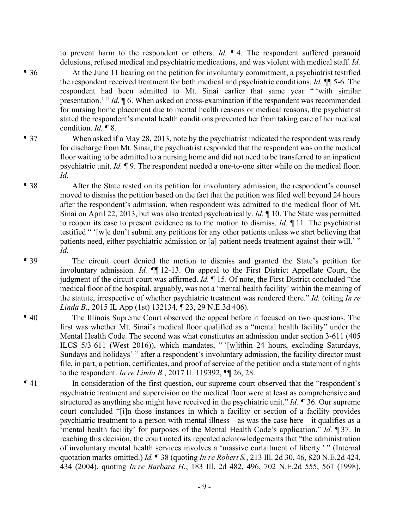to prevent harm to the respondent or others. *Id.* ¶ 4. The respondent suffered paranoid delusions, refused medical and psychiatric medications, and was violent with medical staff. *Id.*

¶ 36 At the June 11 hearing on the petition for involuntary commitment, a psychiatrist testified the respondent received treatment for both medical and psychiatric conditions. *Id.* ¶¶ 5-6. The respondent had been admitted to Mt. Sinai earlier that same year " 'with similar presentation.' " *Id.* ¶ 6. When asked on cross-examination if the respondent was recommended for nursing home placement due to mental health reasons or medical reasons, the psychiatrist stated the respondent's mental health conditions prevented her from taking care of her medical condition. *Id.* ¶ 8.

# ¶ 37 When asked if a May 28, 2013, note by the psychiatrist indicated the respondent was ready for discharge from Mt. Sinai, the psychiatrist responded that the respondent was on the medical floor waiting to be admitted to a nursing home and did not need to be transferred to an inpatient psychiatric unit. *Id.* ¶ 9. The respondent needed a one-to-one sitter while on the medical floor. *Id.*

- ¶ 38 After the State rested on its petition for involuntary admission, the respondent's counsel moved to dismiss the petition based on the fact that the petition was filed well beyond 24 hours after the respondent's admission, when respondent was admitted to the medical floor of Mt. Sinai on April 22, 2013, but was also treated psychiatrically. *Id.* ¶ 10. The State was permitted to reopen its case to present evidence as to the motion to dismiss. *Id.* ¶ 11. The psychiatrist testified " '[w]e don't submit any petitions for any other patients unless we start believing that patients need, either psychiatric admission or [a] patient needs treatment against their will.' " *Id.*
- ¶ 39 The circuit court denied the motion to dismiss and granted the State's petition for involuntary admission. *Id.* ¶¶ 12-13. On appeal to the First District Appellate Court, the judgment of the circuit court was affirmed. *Id.* ¶ 15. Of note, the First District concluded "the medical floor of the hospital, arguably, was not a 'mental health facility' within the meaning of the statute, irrespective of whether psychiatric treatment was rendered there." *Id.* (citing *In re Linda B.*, 2015 IL App (1st) 132134, ¶ 23, 29 N.E.3d 406).
- ¶ 40 The Illinois Supreme Court observed the appeal before it focused on two questions. The first was whether Mt. Sinai's medical floor qualified as a "mental health facility" under the Mental Health Code. The second was what constitutes an admission under section 3-611 (405 ILCS 5/3-611 (West 2016)), which mandates, " '[w]ithin 24 hours, excluding Saturdays, Sundays and holidays' " after a respondent's involuntary admission, the facility director must file, in part, a petition, certificates, and proof of service of the petition and a statement of rights to the respondent. *In re Linda B.*, 2017 IL 119392, ¶¶ 26, 28.
- ¶ 41 In consideration of the first question, our supreme court observed that the "respondent's psychiatric treatment and supervision on the medical floor were at least as comprehensive and structured as anything she might have received in the psychiatric unit." *Id. ¶* 36. Our supreme court concluded "[i]n those instances in which a facility or section of a facility provides psychiatric treatment to a person with mental illness—as was the case here—it qualifies as a 'mental health facility' for purposes of the Mental Health Code's application." *Id.* ¶ 37. In reaching this decision, the court noted its repeated acknowledgements that "the administration of involuntary mental health services involves a 'massive curtailment of liberty.' " (Internal quotation marks omitted.) *Id.* ¶ 38 (quoting *In re Robert S.*, 213 Ill. 2d 30, 46, 820 N.E.2d 424, 434 (2004), quoting *In re Barbara H.*, 183 Ill. 2d 482, 496, 702 N.E.2d 555, 561 (1998),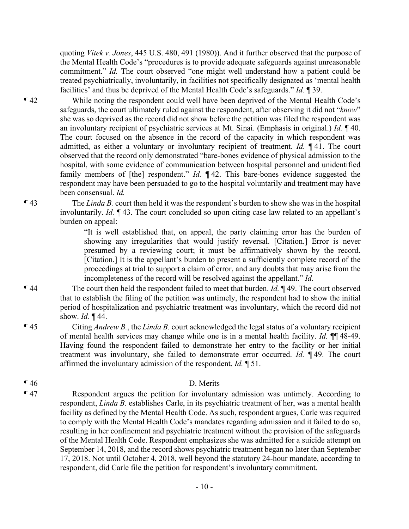quoting *Vitek v. Jones*, 445 U.S. 480, 491 (1980)). And it further observed that the purpose of the Mental Health Code's "procedures is to provide adequate safeguards against unreasonable commitment." *Id.* The court observed "one might well understand how a patient could be treated psychiatrically, involuntarily, in facilities not specifically designated as 'mental health facilities' and thus be deprived of the Mental Health Code's safeguards." *Id.* ¶ 39.

¶ 42 While noting the respondent could well have been deprived of the Mental Health Code's safeguards, the court ultimately ruled against the respondent, after observing it did not "*know*" she was so deprived as the record did not show before the petition was filed the respondent was an involuntary recipient of psychiatric services at Mt. Sinai. (Emphasis in original.) *Id.* ¶ 40. The court focused on the absence in the record of the capacity in which respondent was admitted, as either a voluntary or involuntary recipient of treatment. *Id.* ¶ 41. The court observed that the record only demonstrated "bare-bones evidence of physical admission to the hospital, with some evidence of communication between hospital personnel and unidentified family members of [the] respondent." *Id.*  $\P$ 42. This bare-bones evidence suggested the respondent may have been persuaded to go to the hospital voluntarily and treatment may have been consensual. *Id.*

¶ 43 The *Linda B.* court then held it was the respondent's burden to show she was in the hospital involuntarily. *Id.* ¶ 43. The court concluded so upon citing case law related to an appellant's burden on appeal:

> "It is well established that, on appeal, the party claiming error has the burden of showing any irregularities that would justify reversal. [Citation.] Error is never presumed by a reviewing court; it must be affirmatively shown by the record. [Citation.] It is the appellant's burden to present a sufficiently complete record of the proceedings at trial to support a claim of error, and any doubts that may arise from the incompleteness of the record will be resolved against the appellant." *Id.*

¶ 44 The court then held the respondent failed to meet that burden. *Id.* ¶ 49. The court observed that to establish the filing of the petition was untimely, the respondent had to show the initial period of hospitalization and psychiatric treatment was involuntary, which the record did not show. *Id.* ¶ 44.

¶ 45 Citing *Andrew B.*, the *Linda B.* court acknowledged the legal status of a voluntary recipient of mental health services may change while one is in a mental health facility. *Id.* ¶¶ 48-49. Having found the respondent failed to demonstrate her entry to the facility or her initial treatment was involuntary, she failed to demonstrate error occurred. *Id.* ¶ 49. The court affirmed the involuntary admission of the respondent. *Id.* ¶ 51.

# ¶ 46 D. Merits

¶ 47 Respondent argues the petition for involuntary admission was untimely. According to respondent, *Linda B.* establishes Carle, in its psychiatric treatment of her, was a mental health facility as defined by the Mental Health Code. As such, respondent argues, Carle was required to comply with the Mental Health Code's mandates regarding admission and it failed to do so, resulting in her confinement and psychiatric treatment without the provision of the safeguards of the Mental Health Code. Respondent emphasizes she was admitted for a suicide attempt on September 14, 2018, and the record shows psychiatric treatment began no later than September 17, 2018. Not until October 4, 2018, well beyond the statutory 24-hour mandate, according to respondent, did Carle file the petition for respondent's involuntary commitment.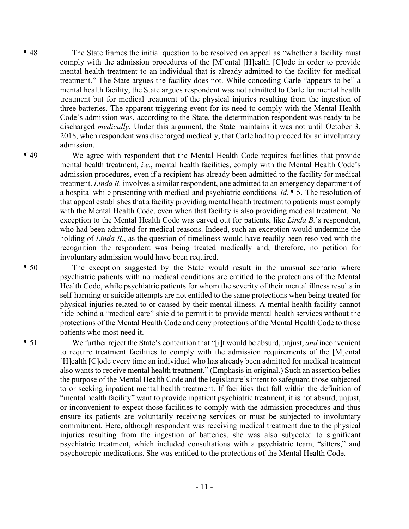¶ 48 The State frames the initial question to be resolved on appeal as "whether a facility must comply with the admission procedures of the [M]ental [H]ealth [C]ode in order to provide mental health treatment to an individual that is already admitted to the facility for medical treatment." The State argues the facility does not. While conceding Carle "appears to be" a mental health facility, the State argues respondent was not admitted to Carle for mental health treatment but for medical treatment of the physical injuries resulting from the ingestion of three batteries. The apparent triggering event for its need to comply with the Mental Health Code's admission was, according to the State, the determination respondent was ready to be discharged *medically*. Under this argument, the State maintains it was not until October 3, 2018, when respondent was discharged medically, that Carle had to proceed for an involuntary admission.

¶ 49 We agree with respondent that the Mental Health Code requires facilities that provide mental health treatment, *i.e.*, mental health facilities, comply with the Mental Health Code's admission procedures, even if a recipient has already been admitted to the facility for medical treatment. *Linda B.* involves a similar respondent, one admitted to an emergency department of a hospital while presenting with medical and psychiatric conditions. *Id.* ¶ 5. The resolution of that appeal establishes that a facility providing mental health treatment to patients must comply with the Mental Health Code, even when that facility is also providing medical treatment. No exception to the Mental Health Code was carved out for patients, like *Linda B.*'s respondent, who had been admitted for medical reasons. Indeed, such an exception would undermine the holding of *Linda B.*, as the question of timeliness would have readily been resolved with the recognition the respondent was being treated medically and, therefore, no petition for involuntary admission would have been required.

¶ 50 The exception suggested by the State would result in the unusual scenario where psychiatric patients with no medical conditions are entitled to the protections of the Mental Health Code, while psychiatric patients for whom the severity of their mental illness results in self-harming or suicide attempts are not entitled to the same protections when being treated for physical injuries related to or caused by their mental illness. A mental health facility cannot hide behind a "medical care" shield to permit it to provide mental health services without the protections of the Mental Health Code and deny protections of the Mental Health Code to those patients who most need it.

¶ 51 We further reject the State's contention that "[i]t would be absurd, unjust, *and* inconvenient to require treatment facilities to comply with the admission requirements of the [M]ental [H]ealth [C]ode every time an individual who has already been admitted for medical treatment also wants to receive mental health treatment." (Emphasis in original.) Such an assertion belies the purpose of the Mental Health Code and the legislature's intent to safeguard those subjected to or seeking inpatient mental health treatment. If facilities that fall within the definition of "mental health facility" want to provide inpatient psychiatric treatment, it is not absurd, unjust, or inconvenient to expect those facilities to comply with the admission procedures and thus ensure its patients are voluntarily receiving services or must be subjected to involuntary commitment. Here, although respondent was receiving medical treatment due to the physical injuries resulting from the ingestion of batteries, she was also subjected to significant psychiatric treatment, which included consultations with a psychiatric team, "sitters," and psychotropic medications. She was entitled to the protections of the Mental Health Code.

- 11 -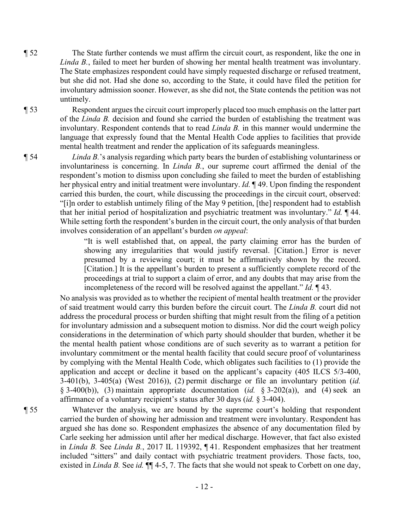¶ 52 The State further contends we must affirm the circuit court, as respondent, like the one in *Linda B.*, failed to meet her burden of showing her mental health treatment was involuntary. The State emphasizes respondent could have simply requested discharge or refused treatment, but she did not. Had she done so, according to the State, it could have filed the petition for involuntary admission sooner. However, as she did not, the State contends the petition was not untimely.

¶ 53 Respondent argues the circuit court improperly placed too much emphasis on the latter part of the *Linda B.* decision and found she carried the burden of establishing the treatment was involuntary. Respondent contends that to read *Linda B.* in this manner would undermine the language that expressly found that the Mental Health Code applies to facilities that provide mental health treatment and render the application of its safeguards meaningless.

¶ 54 *Linda B.*'s analysis regarding which party bears the burden of establishing voluntariness or involuntariness is concerning. In *Linda B.*, our supreme court affirmed the denial of the respondent's motion to dismiss upon concluding she failed to meet the burden of establishing her physical entry and initial treatment were involuntary. *Id.* ¶ 49. Upon finding the respondent carried this burden, the court, while discussing the proceedings in the circuit court, observed: "[i]n order to establish untimely filing of the May 9 petition, [the] respondent had to establish that her initial period of hospitalization and psychiatric treatment was involuntary." *Id.* ¶ 44. While setting forth the respondent's burden in the circuit court, the only analysis of that burden involves consideration of an appellant's burden *on appeal*:

> "It is well established that, on appeal, the party claiming error has the burden of showing any irregularities that would justify reversal. [Citation.] Error is never presumed by a reviewing court; it must be affirmatively shown by the record. [Citation.] It is the appellant's burden to present a sufficiently complete record of the proceedings at trial to support a claim of error, and any doubts that may arise from the incompleteness of the record will be resolved against the appellant." *Id.* ¶ 43.

No analysis was provided as to whether the recipient of mental health treatment or the provider of said treatment would carry this burden before the circuit court. The *Linda B.* court did not address the procedural process or burden shifting that might result from the filing of a petition for involuntary admission and a subsequent motion to dismiss. Nor did the court weigh policy considerations in the determination of which party should shoulder that burden, whether it be the mental health patient whose conditions are of such severity as to warrant a petition for involuntary commitment or the mental health facility that could secure proof of voluntariness by complying with the Mental Health Code, which obligates such facilities to (1) provide the application and accept or decline it based on the applicant's capacity (405 ILCS 5/3-400, 3-401(b), 3-405(a) (West 2016)), (2) permit discharge or file an involuntary petition (*id.* § 3-400(b)), (3) maintain appropriate documentation (*id.* § 3-202(a)), and (4) seek an affirmance of a voluntary recipient's status after 30 days (*id.* § 3-404).

¶ 55 Whatever the analysis, we are bound by the supreme court's holding that respondent carried the burden of showing her admission and treatment were involuntary. Respondent has argued she has done so. Respondent emphasizes the absence of any documentation filed by Carle seeking her admission until after her medical discharge. However, that fact also existed in *Linda B.* See *Linda B.*, 2017 IL 119392, ¶ 41. Respondent emphasizes that her treatment included "sitters" and daily contact with psychiatric treatment providers. Those facts, too, existed in *Linda B.* See *id.* ¶¶ 4-5, 7. The facts that she would not speak to Corbett on one day,

- 12 -